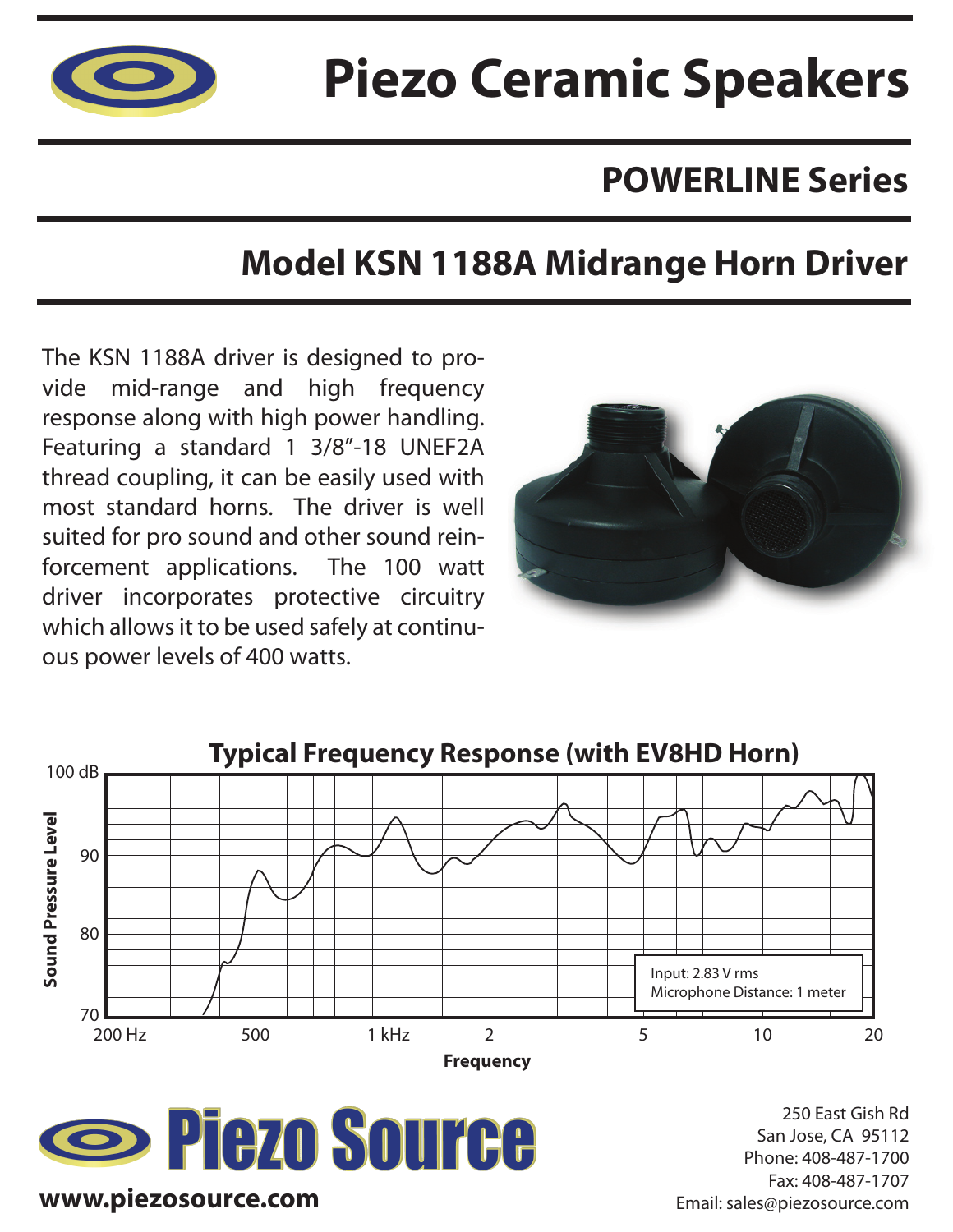

# **Piezo Ceramic Speakers**

## **POWERLINE Series**

## **Model KSN 1188A Midrange Horn Driver**

The KSN 1188A driver is designed to provide mid-range and high frequency response along with high power handling. Featuring a standard 1 3/8"-18 UNEF2A thread coupling, it can be easily used with most standard horns. The driver is well suited for pro sound and other sound reinforcement applications. The 100 watt driver incorporates protective circuitry which allows it to be used safely at continuous power levels of 400 watts.







250 East Gish Rd San Jose, CA 95112 Phone: 408-487-1700 Fax: 408-487-1707 Email: sales@piezosource.com